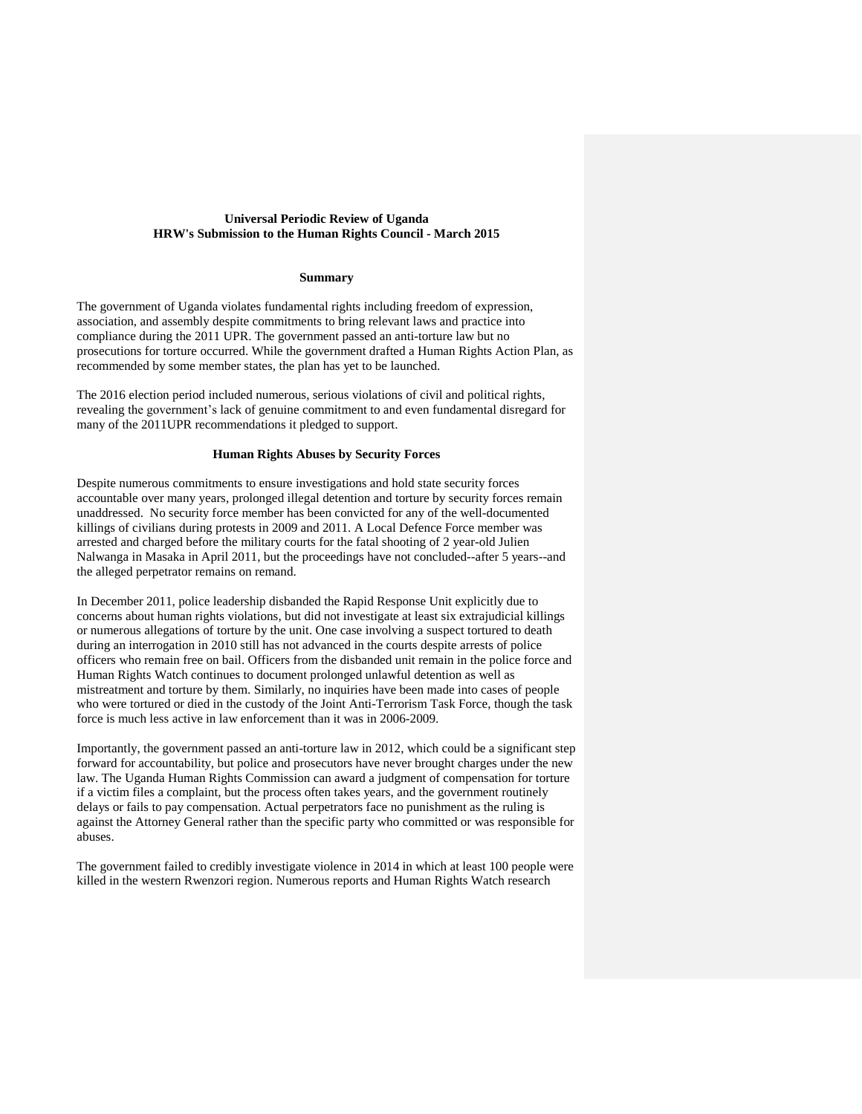## **Universal Periodic Review of Uganda HRW's Submission to the Human Rights Council - March 2015**

### **Summary**

The government of Uganda violates fundamental rights including freedom of expression, association, and assembly despite commitments to bring relevant laws and practice into compliance during the 2011 UPR. The government passed an anti-torture law but no prosecutions for torture occurred. While the government drafted a Human Rights Action Plan, as recommended by some member states, the plan has yet to be launched.

The 2016 election period included numerous, serious violations of civil and political rights, revealing the government's lack of genuine commitment to and even fundamental disregard for many of the 2011UPR recommendations it pledged to support.

## **Human Rights Abuses by Security Forces**

Despite numerous commitments to ensure investigations and hold state security forces accountable over many years, prolonged illegal detention and torture by security forces remain unaddressed. No security force member has been convicted for any of the well-documented killings of civilians during protests in 2009 and 2011. A Local Defence Force member was arrested and charged before the military courts for the fatal shooting of 2 year-old Julien Nalwanga in Masaka in April 2011, but the proceedings have not concluded--after 5 years--and the alleged perpetrator remains on remand.

In December 2011, police leadership disbanded the Rapid Response Unit explicitly due to concerns about human rights violations, but did not investigate at least six extrajudicial killings or numerous allegations of torture by the unit. One case involving a suspect tortured to death during an interrogation in 2010 still has not advanced in the courts despite arrests of police officers who remain free on bail. Officers from the disbanded unit remain in the police force and Human Rights Watch continues to document prolonged unlawful detention as well as mistreatment and torture by them. Similarly, no inquiries have been made into cases of people who were tortured or died in the custody of the Joint Anti-Terrorism Task Force, though the task force is much less active in law enforcement than it was in 2006-2009.

Importantly, the government passed an anti-torture law in 2012, which could be a significant step forward for accountability, but police and prosecutors have never brought charges under the new law. The Uganda Human Rights Commission can award a judgment of compensation for torture if a victim files a complaint, but the process often takes years, and the government routinely delays or fails to pay compensation. Actual perpetrators face no punishment as the ruling is against the Attorney General rather than the specific party who committed or was responsible for abuses.

The government failed to credibly investigate violence in 2014 in which at least 100 people were killed in the western Rwenzori region. Numerous reports and Human Rights Watch research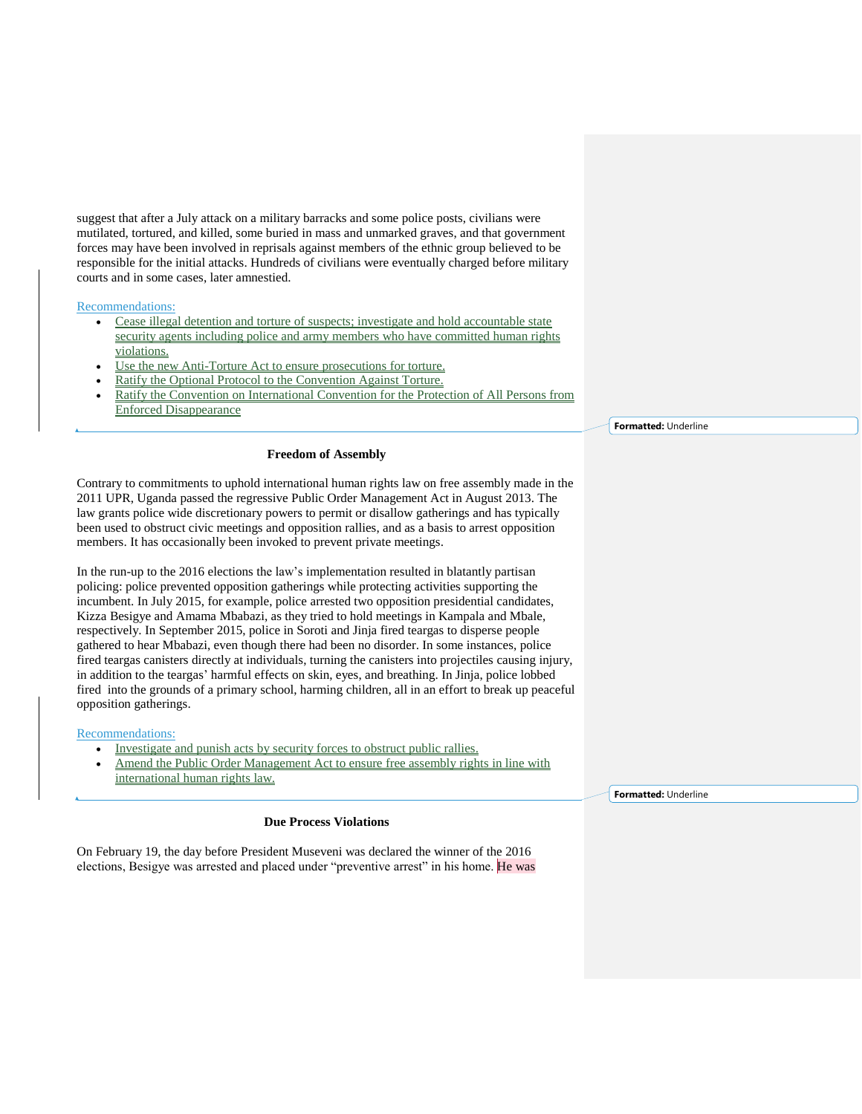suggest that after a July attack on a military barracks and some police posts, civilians were mutilated, tortured, and killed, some buried in mass and unmarked graves, and that government forces may have been involved in reprisals against members of the ethnic group believed to be responsible for the initial attacks. Hundreds of civilians were eventually charged before military courts and in some cases, later amnestied.

### Recommendations:

- Cease illegal detention and torture of suspects; investigate and hold accountable state security agents including police and army members who have committed human rights violations.
- Use the new Anti-Torture Act to ensure prosecutions for torture.
- Ratify the Optional Protocol to the Convention Against Torture.
- Ratify the Convention on International Convention for the Protection of All Persons from Enforced Disappearance

### **Freedom of Assembly**

Contrary to commitments to uphold international human rights law on free assembly made in the 2011 UPR, Uganda passed the regressive Public Order Management Act in August 2013. The law grants police wide discretionary powers to permit or disallow gatherings and has typically been used to obstruct civic meetings and opposition rallies, and as a basis to arrest opposition members. It has occasionally been invoked to prevent private meetings.

In the run-up to the 2016 elections the law's implementation resulted in blatantly partisan policing: police prevented opposition gatherings while protecting activities supporting the incumbent. In July 2015, for example, police arrested two opposition presidential candidates, Kizza Besigye and Amama Mbabazi, as they tried to hold meetings in Kampala and Mbale, respectively. In September 2015, police in Soroti and Jinja fired teargas to disperse people gathered to hear Mbabazi, even though there had been no disorder. In some instances, police fired teargas canisters directly at individuals, turning the canisters into projectiles causing injury, in addition to the teargas' harmful effects on skin, eyes, and breathing. In Jinja, police lobbed fired into the grounds of a primary school, harming children, all in an effort to break up peaceful opposition gatherings.

### Recommendations:

- Investigate and punish acts by security forces to obstruct public rallies.
- Amend the Public Order Management Act to ensure free assembly rights in line with international human rights law.

### **Due Process Violations**

On February 19, the day before President Museveni was declared the winner of the 2016 elections, Besigye was arrested and placed under "preventive arrest" in his home. He was **Formatted:** Underline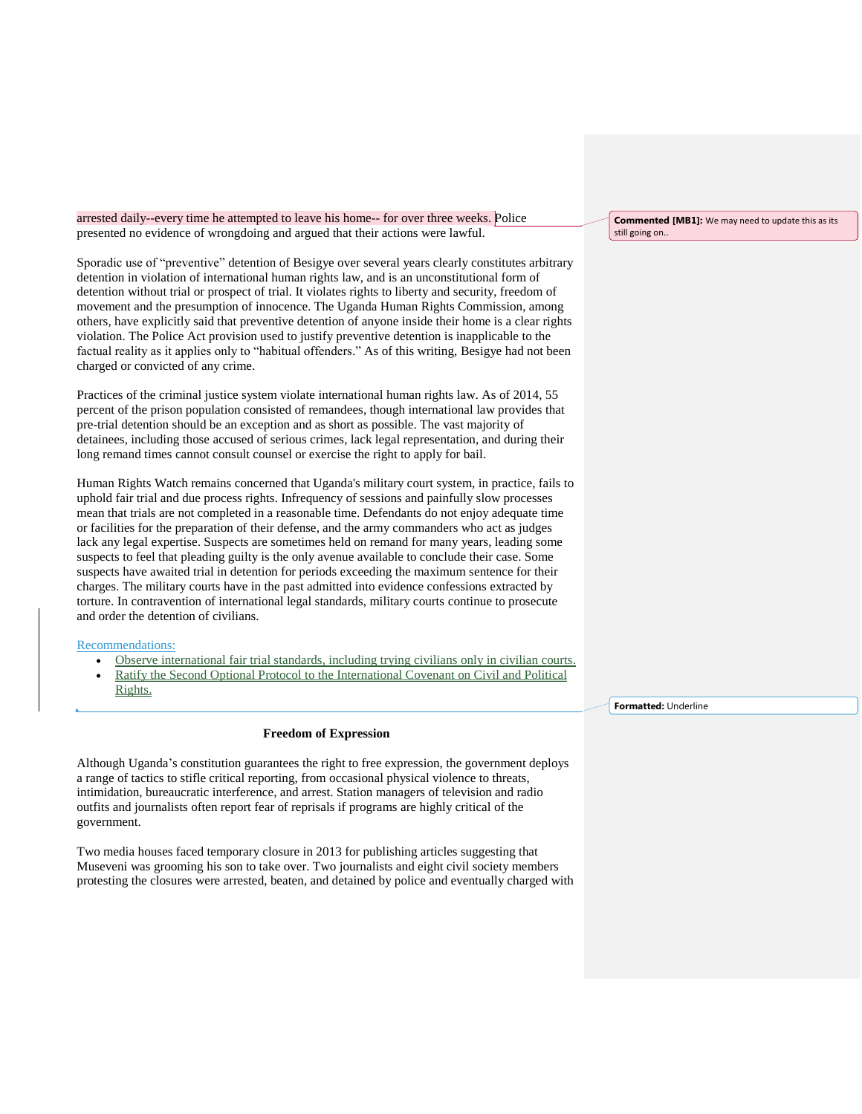arrested daily--every time he attempted to leave his home-- for over three weeks. Police presented no evidence of wrongdoing and argued that their actions were lawful.

Sporadic use of "preventive" detention of Besigye over several years clearly constitutes arbitrary detention in violation of international human rights law, and is an unconstitutional form of detention without trial or prospect of trial. It violates rights to liberty and security, freedom of movement and the presumption of innocence. The Uganda Human Rights Commission, among others, have explicitly said that preventive detention of anyone inside their home is a clear rights violation. The Police Act provision used to justify preventive detention is inapplicable to the factual reality as it applies only to "habitual offenders." As of this writing, Besigye had not been charged or convicted of any crime.

Practices of the criminal justice system violate international human rights law. As of 2014, 55 percent of the prison population consisted of remandees, though international law provides that pre-trial detention should be an exception and as short as possible. The vast majority of detainees, including those accused of serious crimes, lack legal representation, and during their long remand times cannot consult counsel or exercise the right to apply for bail.

Human Rights Watch remains concerned that Uganda's military court system, in practice, fails to uphold fair trial and due process rights. Infrequency of sessions and painfully slow processes mean that trials are not completed in a reasonable time. Defendants do not enjoy adequate time or facilities for the preparation of their defense, and the army commanders who act as judges lack any legal expertise. Suspects are sometimes held on remand for many years, leading some suspects to feel that pleading guilty is the only avenue available to conclude their case. Some suspects have awaited trial in detention for periods exceeding the maximum sentence for their charges. The military courts have in the past admitted into evidence confessions extracted by torture. In contravention of international legal standards, military courts continue to prosecute and order the detention of civilians.

#### Recommendations:

- Observe international fair trial standards, including trying civilians only in civilian courts.
- Ratify the Second Optional Protocol to the International Covenant on Civil and Political Rights.

#### **Freedom of Expression**

Although Uganda's constitution guarantees the right to free expression, the government deploys a range of tactics to stifle critical reporting, from occasional physical violence to threats, intimidation, bureaucratic interference, and arrest. Station managers of television and radio outfits and journalists often report fear of reprisals if programs are highly critical of the government.

Two media houses faced temporary closure in 2013 for publishing articles suggesting that Museveni was grooming his son to take over. Two journalists and eight civil society members protesting the closures were arrested, beaten, and detained by police and eventually charged with

**Commented [MB1]:** We may need to update this as its still going on..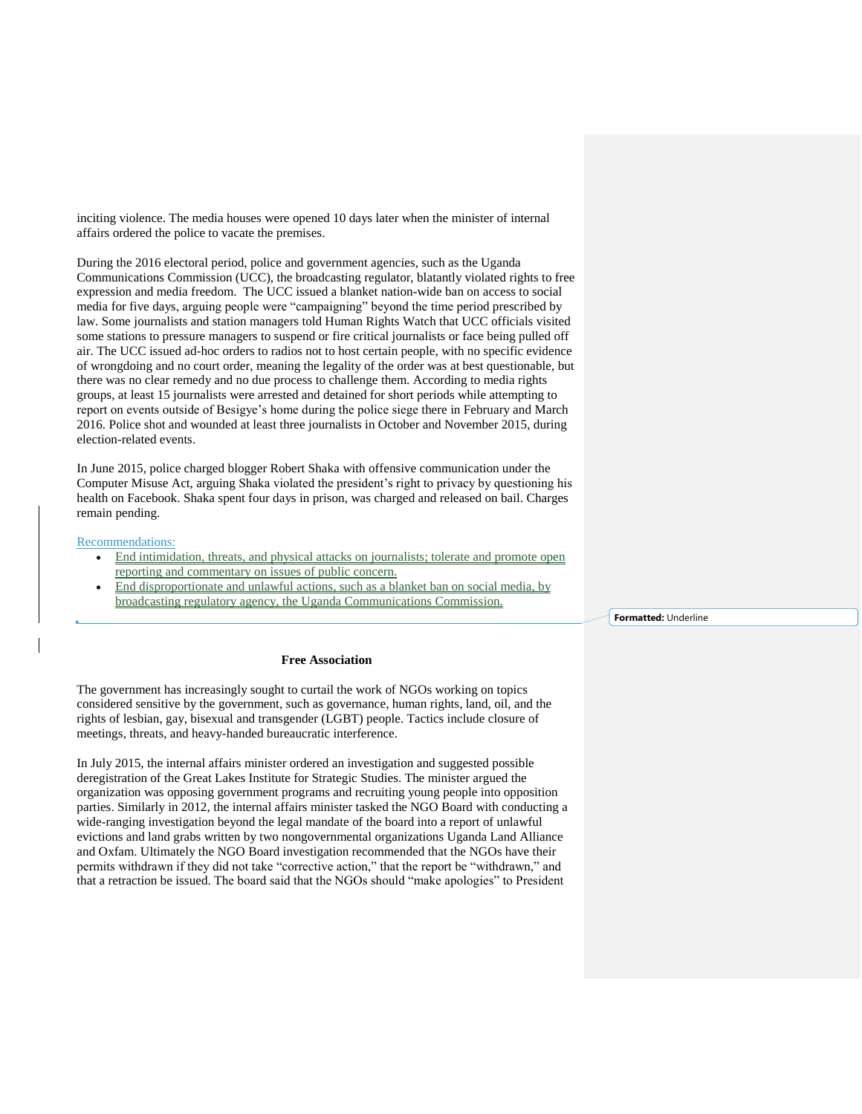inciting violence. The media houses were opened 10 days later when the minister of internal affairs ordered the police to vacate the premises.

During the 2016 electoral period, police and government agencies, such as the Uganda Communications Commission (UCC), the broadcasting regulator, blatantly violated rights to free expression and media freedom. The UCC issued a blanket nation-wide ban on access to social media for five days, arguing people were "campaigning" beyond the time period prescribed by law. Some journalists and station managers told Human Rights Watch that UCC officials visited some stations to pressure managers to suspend or fire critical journalists or face being pulled off air. The UCC issued ad-hoc orders to radios not to host certain people, with no specific evidence of wrongdoing and no court order, meaning the legality of the order was at best questionable, but there was no clear remedy and no due process to challenge them. According to media rights groups, at least 15 journalists were arrested and detained for short periods while attempting to report on events outside of Besigye's home during the police siege there in February and March 2016. Police shot and wounded at least three journalists in October and November 2015, during election-related events.

In June 2015, police charged blogger Robert Shaka with offensive communication under the Computer Misuse Act, arguing Shaka violated the president's right to privacy by questioning his health on Facebook. Shaka spent four days in prison, was charged and released on bail. Charges remain pending.

#### Recommendations:

- End intimidation, threats, and physical attacks on journalists; tolerate and promote open reporting and commentary on issues of public concern.
- End disproportionate and unlawful actions, such as a blanket ban on social media, by broadcasting regulatory agency, the Uganda Communications Commission.

**Formatted:** Underline

#### **Free Association**

The government has increasingly sought to curtail the work of NGOs working on topics considered sensitive by the government, such as governance, human rights, land, oil, and the rights of lesbian, gay, bisexual and transgender (LGBT) people. Tactics include closure of meetings, threats, and heavy-handed bureaucratic interference.

In July 2015, the internal affairs minister ordered an investigation and suggested possible deregistration of the Great Lakes Institute for Strategic Studies. The minister argued the organization was opposing government programs and recruiting young people into opposition parties. Similarly in 2012, the internal affairs minister tasked the NGO Board with conducting a wide-ranging investigation beyond the legal mandate of the board into a report of unlawful evictions and land grabs written by two nongovernmental organizations Uganda Land Alliance and Oxfam. Ultimately the NGO Board investigation recommended that the NGOs have their permits withdrawn if they did not take "corrective action," that the report be "withdrawn," and that a retraction be issued. The board said that the NGOs should "make apologies" to President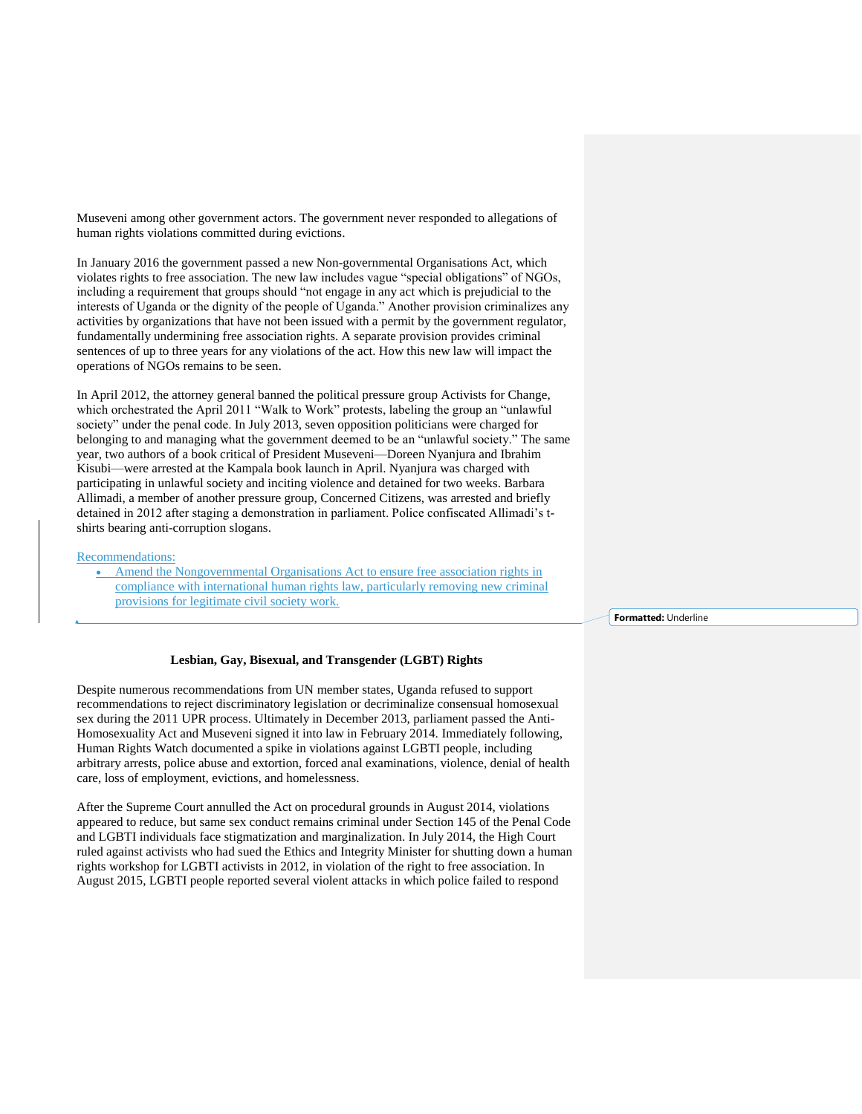Museveni among other government actors. The government never responded to allegations of human rights violations committed during evictions.

In January 2016 the government passed a new Non-governmental Organisations Act, which violates rights to free association. The new law includes vague "special obligations" of NGOs, including a requirement that groups should "not engage in any act which is prejudicial to the interests of Uganda or the dignity of the people of Uganda." Another provision criminalizes any activities by organizations that have not been issued with a permit by the government regulator, fundamentally undermining free association rights. A separate provision provides criminal sentences of up to three years for any violations of the act. How this new law will impact the operations of NGOs remains to be seen.

In April 2012, the attorney general banned the political pressure group Activists for Change, which orchestrated the April 2011 "Walk to Work" protests, labeling the group an "unlawful society" under the penal code. In July 2013, seven opposition politicians were charged for belonging to and managing what the government deemed to be an "unlawful society." The same year, two authors of a book critical of President Museveni—Doreen Nyanjura and Ibrahim Kisubi—were arrested at the Kampala book launch in April. Nyanjura was charged with participating in unlawful society and inciting violence and detained for two weeks. Barbara Allimadi, a member of another pressure group, Concerned Citizens, was arrested and briefly detained in 2012 after staging a demonstration in parliament. Police confiscated Allimadi's tshirts bearing anti-corruption slogans.

### Recommendations:

 Amend the Nongovernmental Organisations Act to ensure free association rights in compliance with international human rights law, particularly removing new criminal provisions for legitimate civil society work.

**Formatted:** Underline

#### **Lesbian, Gay, Bisexual, and Transgender (LGBT) Rights**

Despite numerous recommendations from UN member states, Uganda refused to support recommendations to reject discriminatory legislation or decriminalize consensual homosexual sex during the 2011 UPR process. Ultimately in December 2013, parliament passed the Anti-Homosexuality Act and Museveni signed it into law in February 2014. Immediately following, Human Rights Watch documented a spike in violations against LGBTI people, including arbitrary arrests, police abuse and extortion, forced anal examinations, violence, denial of health care, loss of employment, evictions, and homelessness.

After the Supreme Court annulled the Act on procedural grounds in August 2014, violations appeared to reduce, but same sex conduct remains criminal under Section 145 of the Penal Code and LGBTI individuals face stigmatization and marginalization. In July 2014, the High Court ruled against activists who had sued the Ethics and Integrity Minister for shutting down a human rights workshop for LGBTI activists in 2012, in violation of the right to free association. In August 2015, LGBTI people reported several violent attacks in which police failed to respond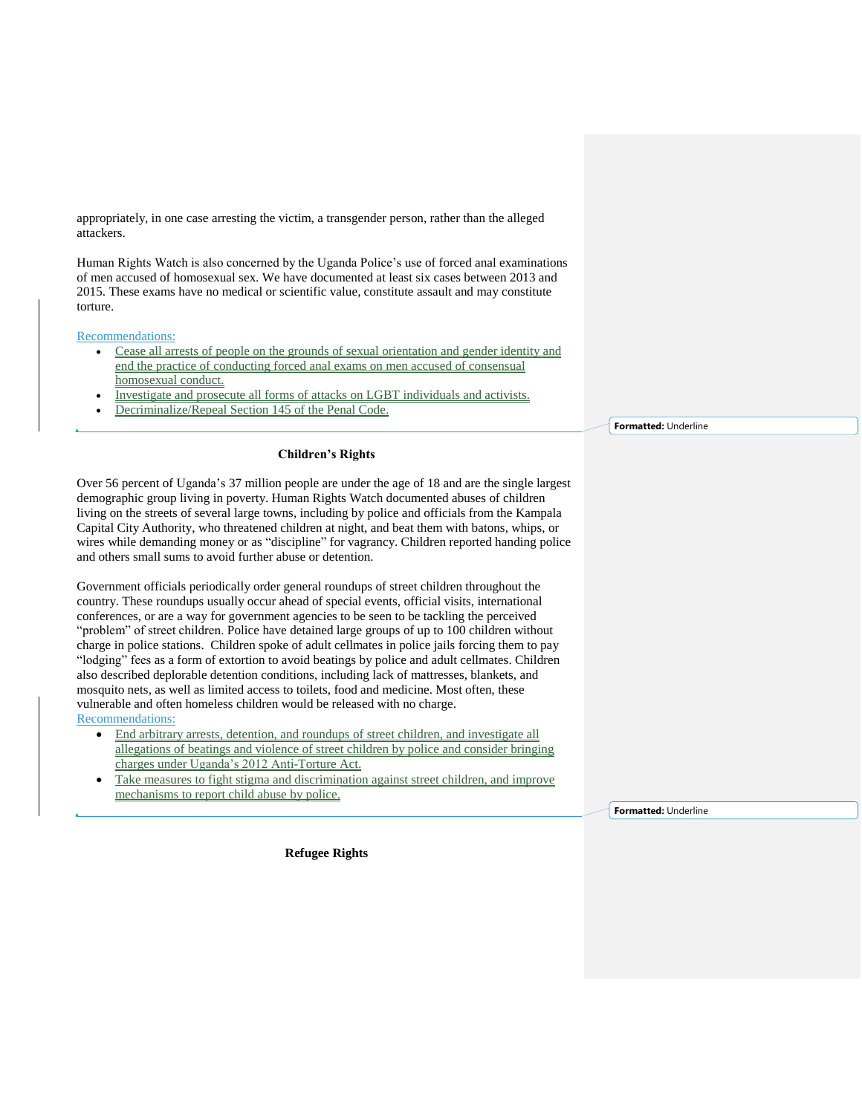appropriately, in one case arresting the victim, a transgender person, rather than the alleged attackers.

Human Rights Watch is also concerned by the Uganda Police's use of forced anal examinations of men accused of homosexual sex. We have documented at least six cases between 2013 and 2015. These exams have no medical or scientific value, constitute assault and may constitute torture.

Recommendations:

- Cease all arrests of people on the grounds of sexual orientation and gender identity and end the practice of conducting forced anal exams on men accused of consensual homosexual conduct.
- Investigate and prosecute all forms of attacks on LGBT individuals and activists.
- Decriminalize/Repeal Section 145 of the Penal Code.

# **Children's Rights**

Over 56 percent of Uganda's 37 million people are under the age of 18 and are the single largest demographic group living in poverty. Human Rights Watch documented abuses of children living on the streets of several large towns, including by police and officials from the Kampala Capital City Authority, who threatened children at night, and beat them with batons, whips, or wires while demanding money or as "discipline" for vagrancy. Children reported handing police and others small sums to avoid further abuse or detention.

Government officials periodically order general roundups of street children throughout the country. These roundups usually occur ahead of special events, official visits, international conferences, or are a way for government agencies to be seen to be tackling the perceived "problem" of street children. Police have detained large groups of up to 100 children without charge in police stations. Children spoke of adult cellmates in police jails forcing them to pay "lodging" fees as a form of extortion to avoid beatings by police and adult cellmates. Children also described deplorable detention conditions, including lack of mattresses, blankets, and mosquito nets, as well as limited access to toilets, food and medicine. Most often, these vulnerable and often homeless children would be released with no charge. Recommendations:

- End arbitrary arrests, detention, and roundups of street children, and investigate all allegations of beatings and violence of street children by police and consider bringing charges under Uganda's 2012 Anti-Torture Act.
- Take measures to fight stigma and discrimination against street children, and improve mechanisms to report child abuse by police.

**Refugee Rights**

**Formatted:** Underline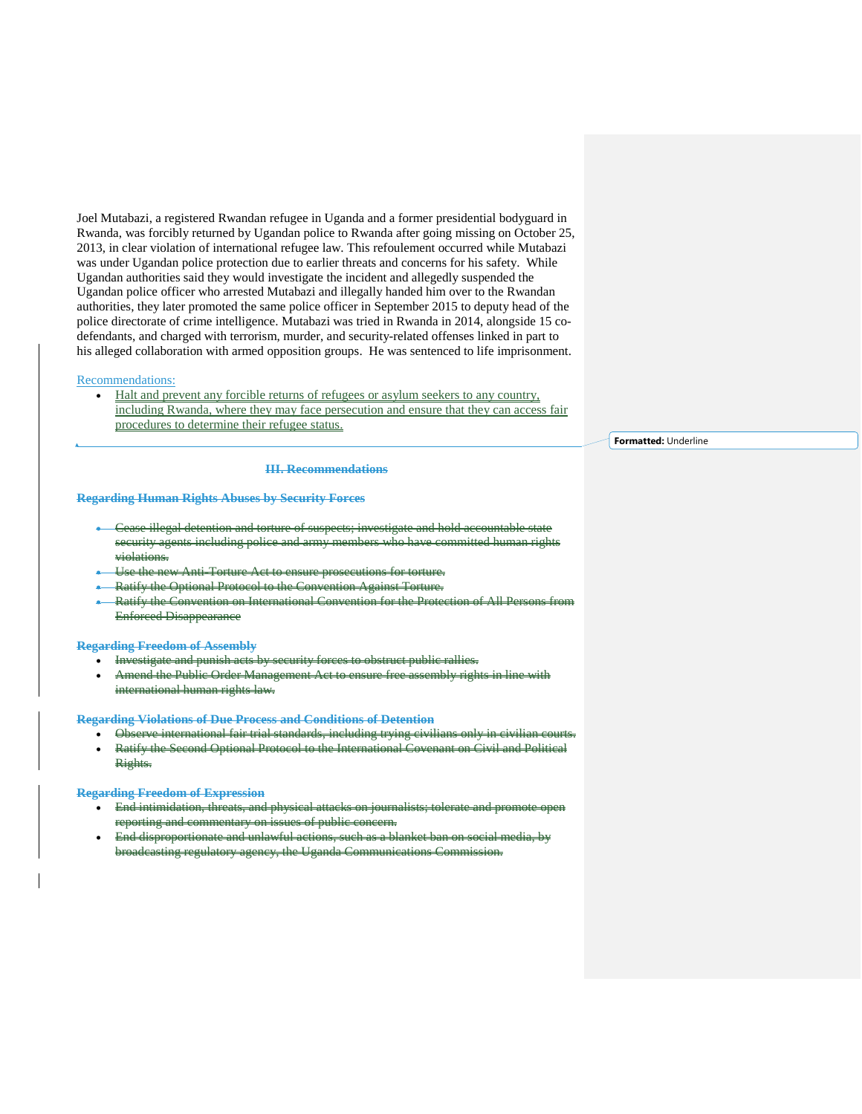Joel Mutabazi, a registered Rwandan refugee in Uganda and a former presidential bodyguard in Rwanda, was forcibly returned by Ugandan police to Rwanda after going missing on October 25, 2013, in clear violation of international refugee law. This refoulement occurred while Mutabazi was under Ugandan police protection due to earlier threats and concerns for his safety. While Ugandan authorities said they would investigate the incident and allegedly suspended the Ugandan police officer who arrested Mutabazi and illegally handed him over to the Rwandan authorities, they later promoted the same police officer in September 2015 to deputy head of the police directorate of crime intelligence. Mutabazi was tried in Rwanda in 2014, alongside 15 codefendants, and charged with terrorism, murder, and security-related offenses linked in part to his alleged collaboration with armed opposition groups. He was sentenced to life imprisonment.

#### Recommendations:

 Halt and prevent any forcible returns of refugees or asylum seekers to any country, including Rwanda, where they may face persecution and ensure that they can access fair procedures to determine their refugee status.

**III. Recommendations**

#### **Regarding Human Rights Abuses by Security Forces**

- Cease illegal detention and torture of suspects; in security agents including police and army members who have committed human right violations.
- Use the new Anti-Torture Act to ensure prosecutions for torture.
- Ratify the Optional Protocol to the Convention Against Torture.
- Ratify the Convention on International Convention for the Protection of All Persons from Enforced Disappearance

### **Regarding Freedom of Assembly**

- Investigate and punish acts by security forces to obstruct public
- Amend the Public Order Management Act to ensure free assembly rights in line with international human rights law.

**Regarding Violations of Due Process and Conditions of Detention**

- Observe international fair trial standards, including trying civilians
- Ratify the Second Optional Protocol to the International Covenant on Civil and Political Rights.

#### **Regarding Freedom of Expression**

- End intimidation, threats, and physical attacks on journalists; tolerate and promote open porting and commentary
- disproportionate and unlawful actions, such as a blanket ban on social media the Uganda Communications